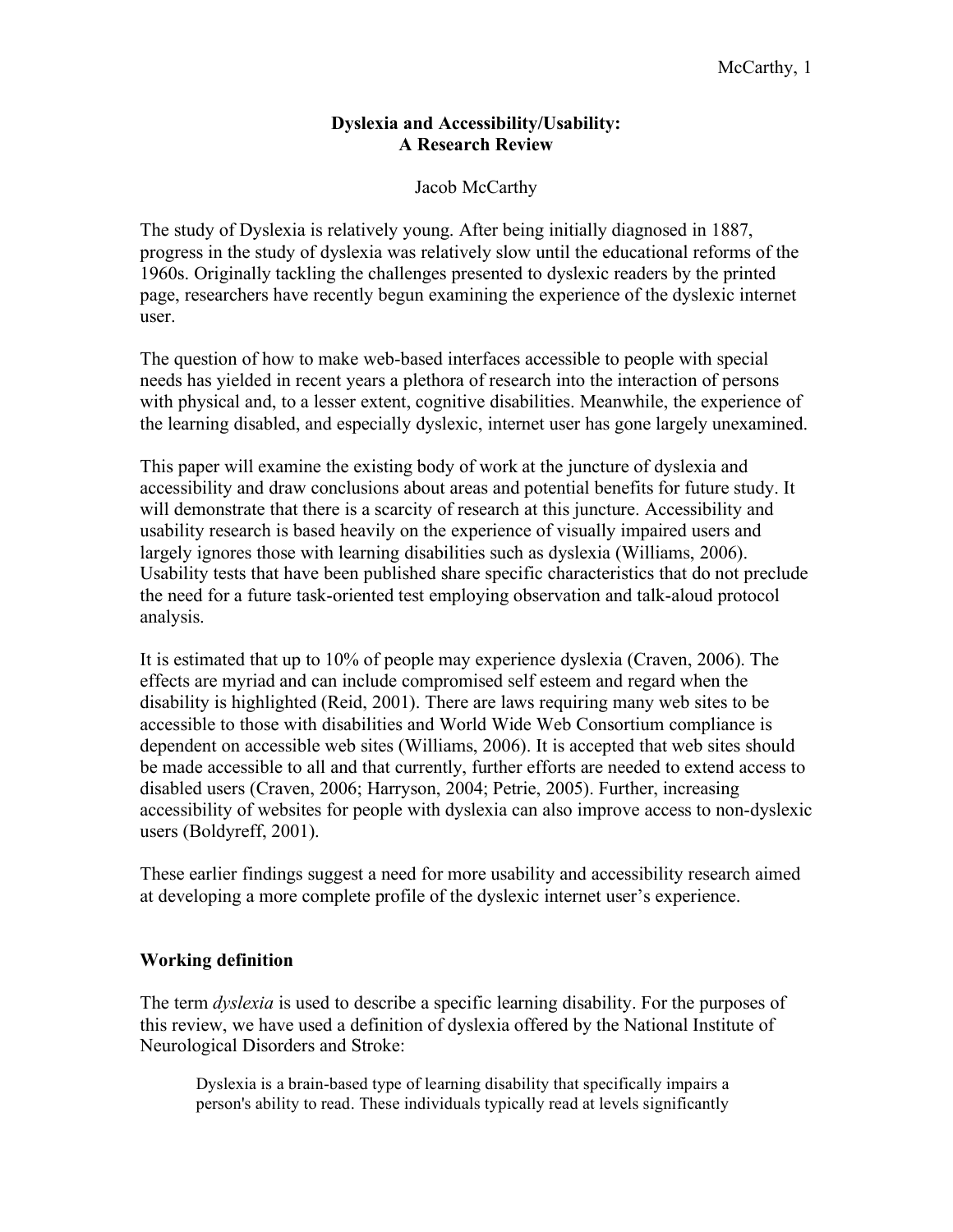# **Dyslexia and Accessibility/Usability: A Research Review**

# Jacob McCarthy

The study of Dyslexia is relatively young. After being initially diagnosed in 1887, progress in the study of dyslexia was relatively slow until the educational reforms of the 1960s. Originally tackling the challenges presented to dyslexic readers by the printed page, researchers have recently begun examining the experience of the dyslexic internet user.

The question of how to make web-based interfaces accessible to people with special needs has yielded in recent years a plethora of research into the interaction of persons with physical and, to a lesser extent, cognitive disabilities. Meanwhile, the experience of the learning disabled, and especially dyslexic, internet user has gone largely unexamined.

This paper will examine the existing body of work at the juncture of dyslexia and accessibility and draw conclusions about areas and potential benefits for future study. It will demonstrate that there is a scarcity of research at this juncture. Accessibility and usability research is based heavily on the experience of visually impaired users and largely ignores those with learning disabilities such as dyslexia (Williams, 2006). Usability tests that have been published share specific characteristics that do not preclude the need for a future task-oriented test employing observation and talk-aloud protocol analysis.

It is estimated that up to 10% of people may experience dyslexia (Craven, 2006). The effects are myriad and can include compromised self esteem and regard when the disability is highlighted (Reid, 2001). There are laws requiring many web sites to be accessible to those with disabilities and World Wide Web Consortium compliance is dependent on accessible web sites (Williams, 2006). It is accepted that web sites should be made accessible to all and that currently, further efforts are needed to extend access to disabled users (Craven, 2006; Harryson, 2004; Petrie, 2005). Further, increasing accessibility of websites for people with dyslexia can also improve access to non-dyslexic users (Boldyreff, 2001).

These earlier findings suggest a need for more usability and accessibility research aimed at developing a more complete profile of the dyslexic internet user's experience.

# **Working definition**

The term *dyslexia* is used to describe a specific learning disability. For the purposes of this review, we have used a definition of dyslexia offered by the National Institute of Neurological Disorders and Stroke:

Dyslexia is a brain-based type of learning disability that specifically impairs a person's ability to read. These individuals typically read at levels significantly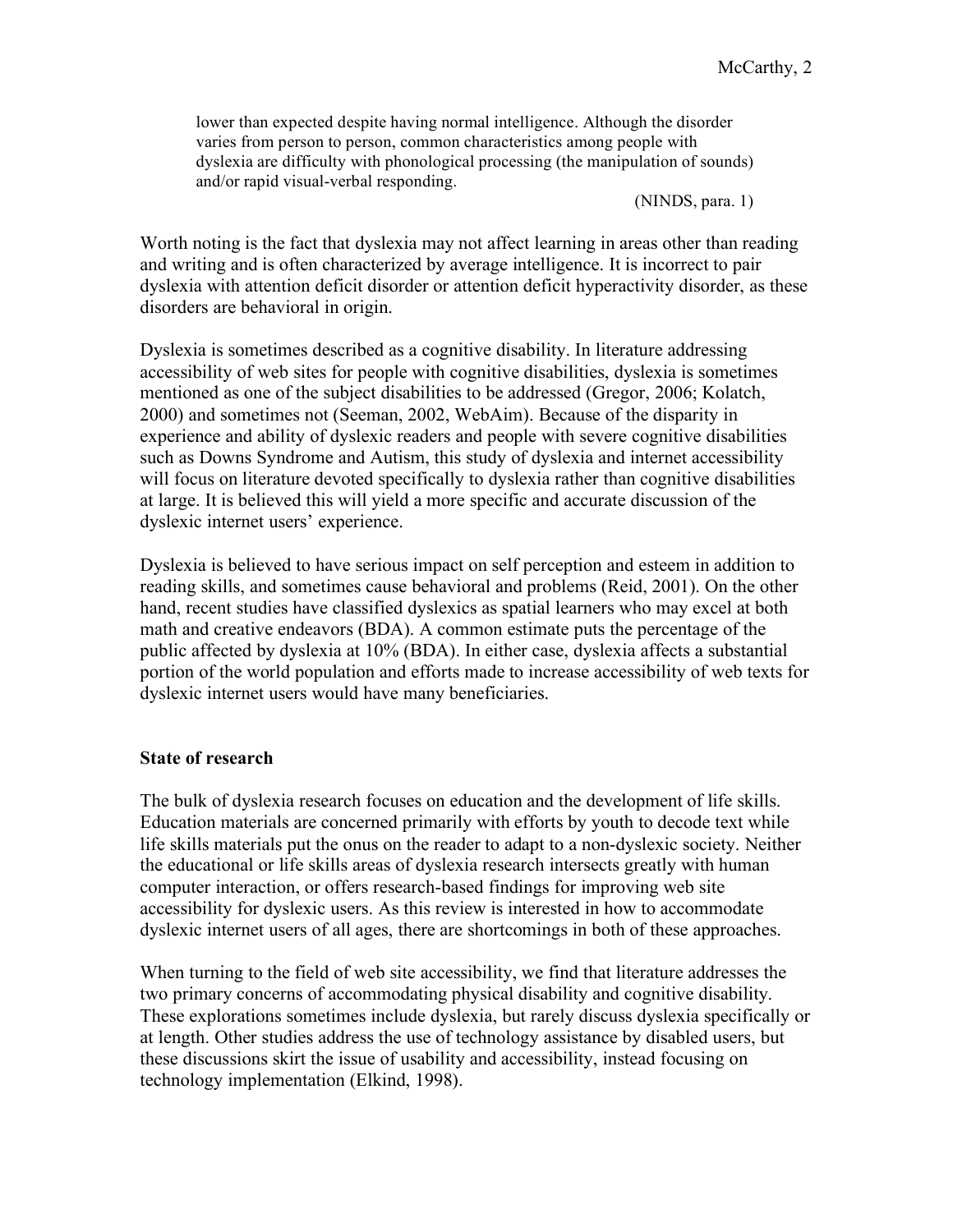lower than expected despite having normal intelligence. Although the disorder varies from person to person, common characteristics among people with dyslexia are difficulty with phonological processing (the manipulation of sounds) and/or rapid visual-verbal responding.

(NINDS, para. 1)

Worth noting is the fact that dyslexia may not affect learning in areas other than reading and writing and is often characterized by average intelligence. It is incorrect to pair dyslexia with attention deficit disorder or attention deficit hyperactivity disorder, as these disorders are behavioral in origin.

Dyslexia is sometimes described as a cognitive disability. In literature addressing accessibility of web sites for people with cognitive disabilities, dyslexia is sometimes mentioned as one of the subject disabilities to be addressed (Gregor, 2006; Kolatch, 2000) and sometimes not (Seeman, 2002, WebAim). Because of the disparity in experience and ability of dyslexic readers and people with severe cognitive disabilities such as Downs Syndrome and Autism, this study of dyslexia and internet accessibility will focus on literature devoted specifically to dyslexia rather than cognitive disabilities at large. It is believed this will yield a more specific and accurate discussion of the dyslexic internet users' experience.

Dyslexia is believed to have serious impact on self perception and esteem in addition to reading skills, and sometimes cause behavioral and problems (Reid, 2001). On the other hand, recent studies have classified dyslexics as spatial learners who may excel at both math and creative endeavors (BDA). A common estimate puts the percentage of the public affected by dyslexia at 10% (BDA). In either case, dyslexia affects a substantial portion of the world population and efforts made to increase accessibility of web texts for dyslexic internet users would have many beneficiaries.

### **State of research**

The bulk of dyslexia research focuses on education and the development of life skills. Education materials are concerned primarily with efforts by youth to decode text while life skills materials put the onus on the reader to adapt to a non-dyslexic society. Neither the educational or life skills areas of dyslexia research intersects greatly with human computer interaction, or offers research-based findings for improving web site accessibility for dyslexic users. As this review is interested in how to accommodate dyslexic internet users of all ages, there are shortcomings in both of these approaches.

When turning to the field of web site accessibility, we find that literature addresses the two primary concerns of accommodating physical disability and cognitive disability. These explorations sometimes include dyslexia, but rarely discuss dyslexia specifically or at length. Other studies address the use of technology assistance by disabled users, but these discussions skirt the issue of usability and accessibility, instead focusing on technology implementation (Elkind, 1998).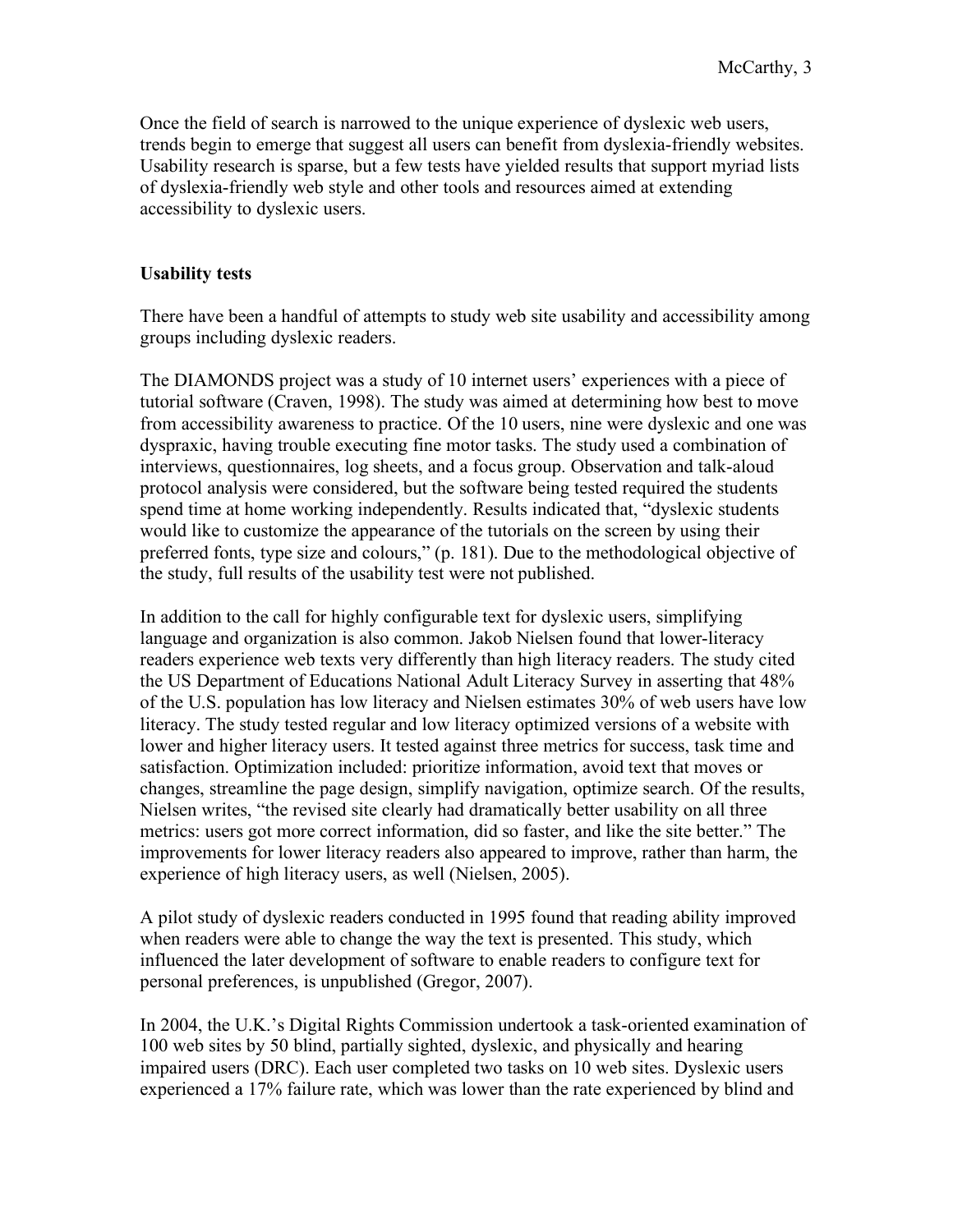Once the field of search is narrowed to the unique experience of dyslexic web users, trends begin to emerge that suggest all users can benefit from dyslexia-friendly websites. Usability research is sparse, but a few tests have yielded results that support myriad lists of dyslexia-friendly web style and other tools and resources aimed at extending accessibility to dyslexic users.

# **Usability tests**

There have been a handful of attempts to study web site usability and accessibility among groups including dyslexic readers.

The DIAMONDS project was a study of 10 internet users' experiences with a piece of tutorial software (Craven, 1998). The study was aimed at determining how best to move from accessibility awareness to practice. Of the 10 users, nine were dyslexic and one was dyspraxic, having trouble executing fine motor tasks. The study used a combination of interviews, questionnaires, log sheets, and a focus group. Observation and talk-aloud protocol analysis were considered, but the software being tested required the students spend time at home working independently. Results indicated that, "dyslexic students would like to customize the appearance of the tutorials on the screen by using their preferred fonts, type size and colours," (p. 181). Due to the methodological objective of the study, full results of the usability test were not published.

In addition to the call for highly configurable text for dyslexic users, simplifying language and organization is also common. Jakob Nielsen found that lower-literacy readers experience web texts very differently than high literacy readers. The study cited the US Department of Educations National Adult Literacy Survey in asserting that 48% of the U.S. population has low literacy and Nielsen estimates 30% of web users have low literacy. The study tested regular and low literacy optimized versions of a website with lower and higher literacy users. It tested against three metrics for success, task time and satisfaction. Optimization included: prioritize information, avoid text that moves or changes, streamline the page design, simplify navigation, optimize search. Of the results, Nielsen writes, "the revised site clearly had dramatically better usability on all three metrics: users got more correct information, did so faster, and like the site better." The improvements for lower literacy readers also appeared to improve, rather than harm, the experience of high literacy users, as well (Nielsen, 2005).

A pilot study of dyslexic readers conducted in 1995 found that reading ability improved when readers were able to change the way the text is presented. This study, which influenced the later development of software to enable readers to configure text for personal preferences, is unpublished (Gregor, 2007).

In 2004, the U.K.'s Digital Rights Commission undertook a task-oriented examination of 100 web sites by 50 blind, partially sighted, dyslexic, and physically and hearing impaired users (DRC). Each user completed two tasks on 10 web sites. Dyslexic users experienced a 17% failure rate, which was lower than the rate experienced by blind and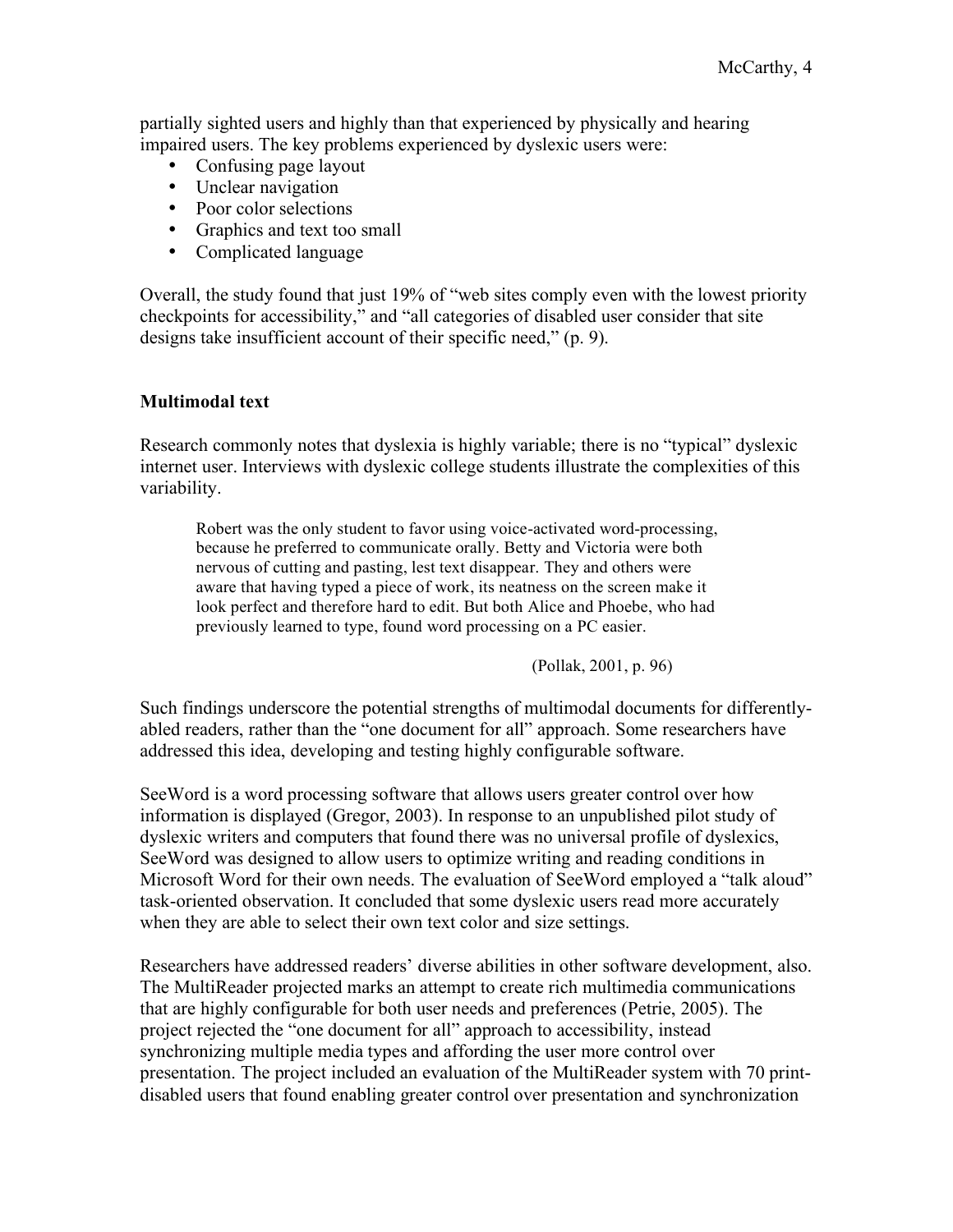partially sighted users and highly than that experienced by physically and hearing impaired users. The key problems experienced by dyslexic users were:

- Confusing page layout
- Unclear navigation
- Poor color selections
- Graphics and text too small
- Complicated language

Overall, the study found that just 19% of "web sites comply even with the lowest priority checkpoints for accessibility," and "all categories of disabled user consider that site designs take insufficient account of their specific need," (p. 9).

### **Multimodal text**

Research commonly notes that dyslexia is highly variable; there is no "typical" dyslexic internet user. Interviews with dyslexic college students illustrate the complexities of this variability.

Robert was the only student to favor using voice-activated word-processing, because he preferred to communicate orally. Betty and Victoria were both nervous of cutting and pasting, lest text disappear. They and others were aware that having typed a piece of work, its neatness on the screen make it look perfect and therefore hard to edit. But both Alice and Phoebe, who had previously learned to type, found word processing on a PC easier.

(Pollak, 2001, p. 96)

Such findings underscore the potential strengths of multimodal documents for differentlyabled readers, rather than the "one document for all" approach. Some researchers have addressed this idea, developing and testing highly configurable software.

SeeWord is a word processing software that allows users greater control over how information is displayed (Gregor, 2003). In response to an unpublished pilot study of dyslexic writers and computers that found there was no universal profile of dyslexics, SeeWord was designed to allow users to optimize writing and reading conditions in Microsoft Word for their own needs. The evaluation of SeeWord employed a "talk aloud" task-oriented observation. It concluded that some dyslexic users read more accurately when they are able to select their own text color and size settings.

Researchers have addressed readers' diverse abilities in other software development, also. The MultiReader projected marks an attempt to create rich multimedia communications that are highly configurable for both user needs and preferences (Petrie, 2005). The project rejected the "one document for all" approach to accessibility, instead synchronizing multiple media types and affording the user more control over presentation. The project included an evaluation of the MultiReader system with 70 printdisabled users that found enabling greater control over presentation and synchronization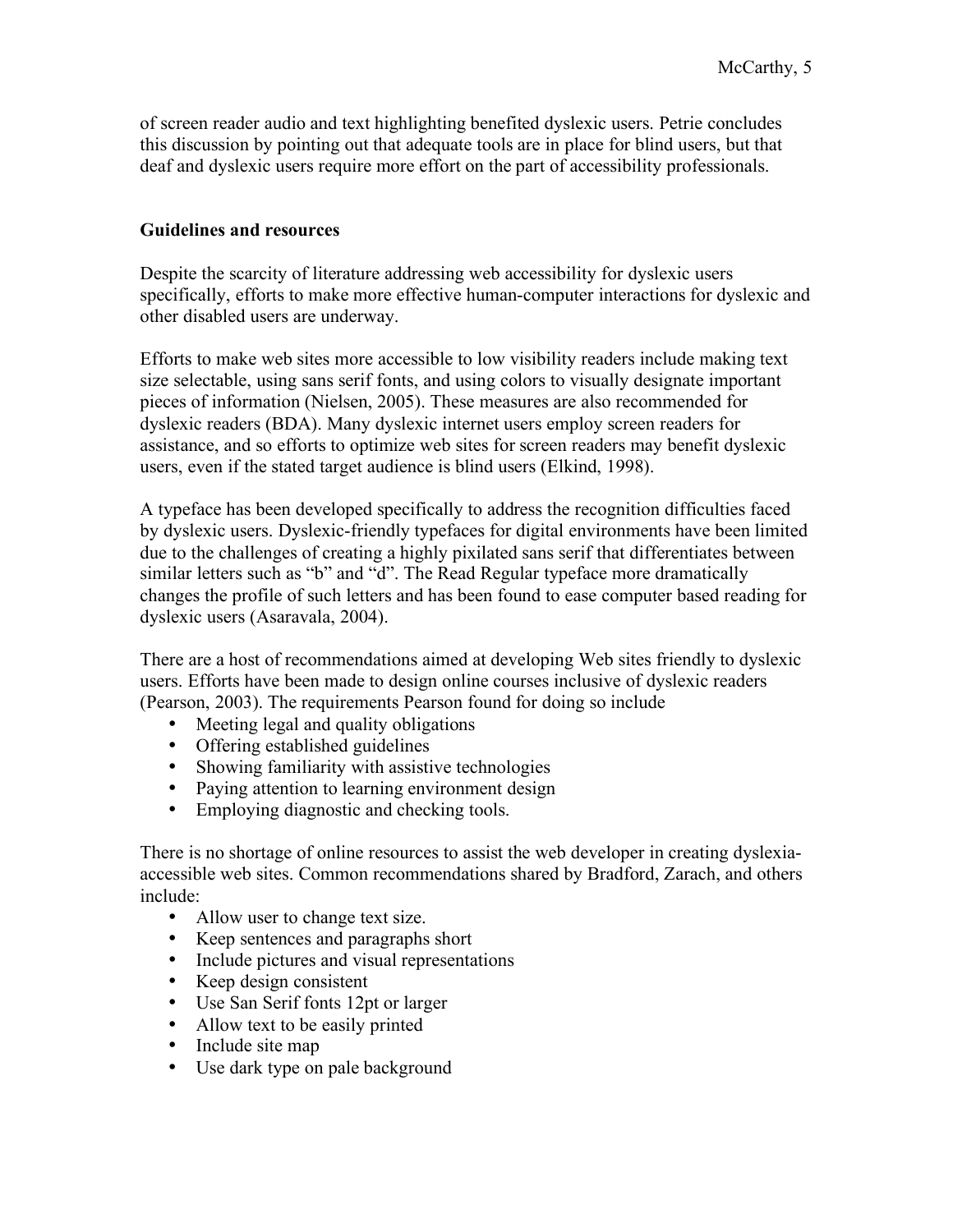of screen reader audio and text highlighting benefited dyslexic users. Petrie concludes this discussion by pointing out that adequate tools are in place for blind users, but that deaf and dyslexic users require more effort on the part of accessibility professionals.

# **Guidelines and resources**

Despite the scarcity of literature addressing web accessibility for dyslexic users specifically, efforts to make more effective human-computer interactions for dyslexic and other disabled users are underway.

Efforts to make web sites more accessible to low visibility readers include making text size selectable, using sans serif fonts, and using colors to visually designate important pieces of information (Nielsen, 2005). These measures are also recommended for dyslexic readers (BDA). Many dyslexic internet users employ screen readers for assistance, and so efforts to optimize web sites for screen readers may benefit dyslexic users, even if the stated target audience is blind users (Elkind, 1998).

A typeface has been developed specifically to address the recognition difficulties faced by dyslexic users. Dyslexic-friendly typefaces for digital environments have been limited due to the challenges of creating a highly pixilated sans serif that differentiates between similar letters such as "b" and "d". The Read Regular typeface more dramatically changes the profile of such letters and has been found to ease computer based reading for dyslexic users (Asaravala, 2004).

There are a host of recommendations aimed at developing Web sites friendly to dyslexic users. Efforts have been made to design online courses inclusive of dyslexic readers (Pearson, 2003). The requirements Pearson found for doing so include

- Meeting legal and quality obligations
- Offering established guidelines
- Showing familiarity with assistive technologies
- Paying attention to learning environment design
- Employing diagnostic and checking tools.

There is no shortage of online resources to assist the web developer in creating dyslexiaaccessible web sites. Common recommendations shared by Bradford, Zarach, and others include:

- Allow user to change text size.
- Keep sentences and paragraphs short
- Include pictures and visual representations
- Keep design consistent
- Use San Serif fonts 12pt or larger
- Allow text to be easily printed
- Include site map
- Use dark type on pale background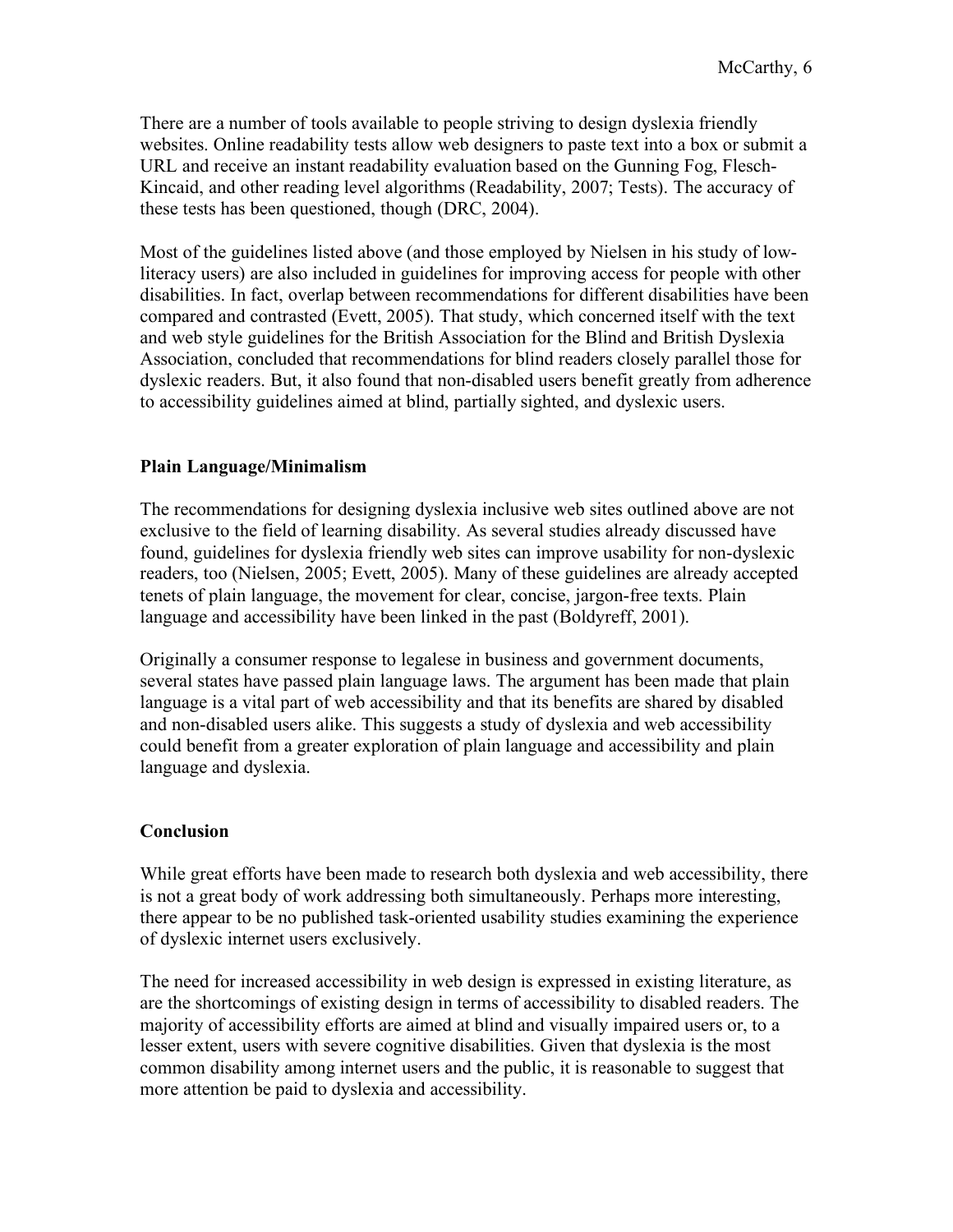There are a number of tools available to people striving to design dyslexia friendly websites. Online readability tests allow web designers to paste text into a box or submit a URL and receive an instant readability evaluation based on the Gunning Fog, Flesch-Kincaid, and other reading level algorithms (Readability, 2007; Tests). The accuracy of these tests has been questioned, though (DRC, 2004).

Most of the guidelines listed above (and those employed by Nielsen in his study of lowliteracy users) are also included in guidelines for improving access for people with other disabilities. In fact, overlap between recommendations for different disabilities have been compared and contrasted (Evett, 2005). That study, which concerned itself with the text and web style guidelines for the British Association for the Blind and British Dyslexia Association, concluded that recommendations for blind readers closely parallel those for dyslexic readers. But, it also found that non-disabled users benefit greatly from adherence to accessibility guidelines aimed at blind, partially sighted, and dyslexic users.

### **Plain Language/Minimalism**

The recommendations for designing dyslexia inclusive web sites outlined above are not exclusive to the field of learning disability. As several studies already discussed have found, guidelines for dyslexia friendly web sites can improve usability for non-dyslexic readers, too (Nielsen, 2005; Evett, 2005). Many of these guidelines are already accepted tenets of plain language, the movement for clear, concise, jargon-free texts. Plain language and accessibility have been linked in the past (Boldyreff, 2001).

Originally a consumer response to legalese in business and government documents, several states have passed plain language laws. The argument has been made that plain language is a vital part of web accessibility and that its benefits are shared by disabled and non-disabled users alike. This suggests a study of dyslexia and web accessibility could benefit from a greater exploration of plain language and accessibility and plain language and dyslexia.

#### **Conclusion**

While great efforts have been made to research both dyslexia and web accessibility, there is not a great body of work addressing both simultaneously. Perhaps more interesting, there appear to be no published task-oriented usability studies examining the experience of dyslexic internet users exclusively.

The need for increased accessibility in web design is expressed in existing literature, as are the shortcomings of existing design in terms of accessibility to disabled readers. The majority of accessibility efforts are aimed at blind and visually impaired users or, to a lesser extent, users with severe cognitive disabilities. Given that dyslexia is the most common disability among internet users and the public, it is reasonable to suggest that more attention be paid to dyslexia and accessibility.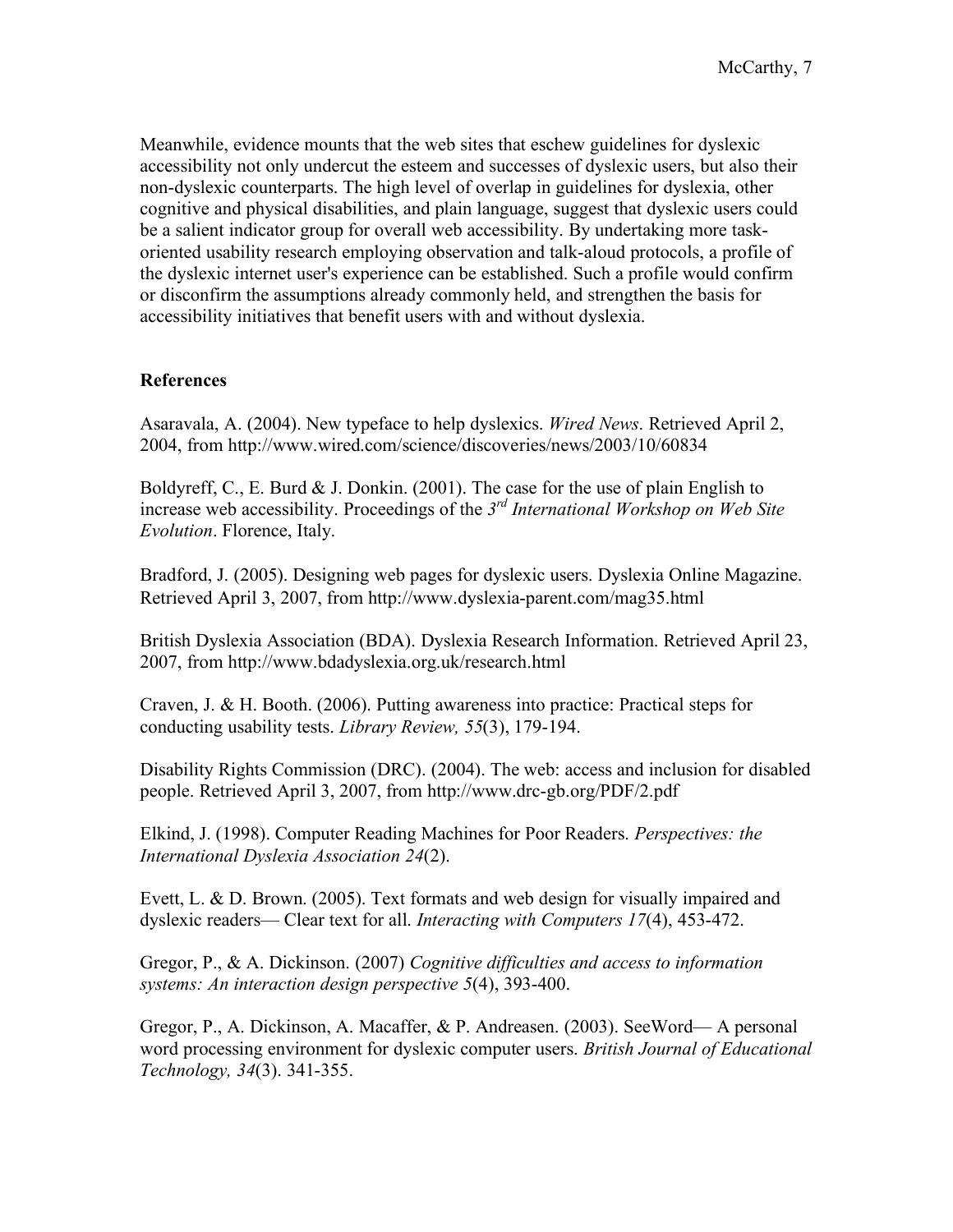Meanwhile, evidence mounts that the web sites that eschew guidelines for dyslexic accessibility not only undercut the esteem and successes of dyslexic users, but also their non-dyslexic counterparts. The high level of overlap in guidelines for dyslexia, other cognitive and physical disabilities, and plain language, suggest that dyslexic users could be a salient indicator group for overall web accessibility. By undertaking more taskoriented usability research employing observation and talk-aloud protocols, a profile of the dyslexic internet user's experience can be established. Such a profile would confirm or disconfirm the assumptions already commonly held, and strengthen the basis for accessibility initiatives that benefit users with and without dyslexia.

# **References**

Asaravala, A. (2004). New typeface to help dyslexics. *Wired News*. Retrieved April 2, 2004, from http://www.wired.com/science/discoveries/news/2003/10/60834

Boldyreff, C., E. Burd  $&$  J. Donkin. (2001). The case for the use of plain English to increase web accessibility. Proceedings of the *3rd International Workshop on Web Site Evolution*. Florence, Italy.

Bradford, J. (2005). Designing web pages for dyslexic users. Dyslexia Online Magazine. Retrieved April 3, 2007, from http://www.dyslexia-parent.com/mag35.html

British Dyslexia Association (BDA). Dyslexia Research Information. Retrieved April 23, 2007, from http://www.bdadyslexia.org.uk/research.html

Craven, J. & H. Booth. (2006). Putting awareness into practice: Practical steps for conducting usability tests. *Library Review, 55*(3), 179-194.

Disability Rights Commission (DRC). (2004). The web: access and inclusion for disabled people. Retrieved April 3, 2007, from http://www.drc-gb.org/PDF/2.pdf

Elkind, J. (1998). Computer Reading Machines for Poor Readers. *Perspectives: the International Dyslexia Association 24*(2).

Evett, L. & D. Brown. (2005). Text formats and web design for visually impaired and dyslexic readers— Clear text for all. *Interacting with Computers 17*(4), 453-472.

Gregor, P., & A. Dickinson. (2007) *Cognitive difficulties and access to information systems: An interaction design perspective 5*(4), 393-400.

Gregor, P., A. Dickinson, A. Macaffer, & P. Andreasen. (2003). SeeWord— A personal word processing environment for dyslexic computer users. *British Journal of Educational Technology, 34*(3). 341-355.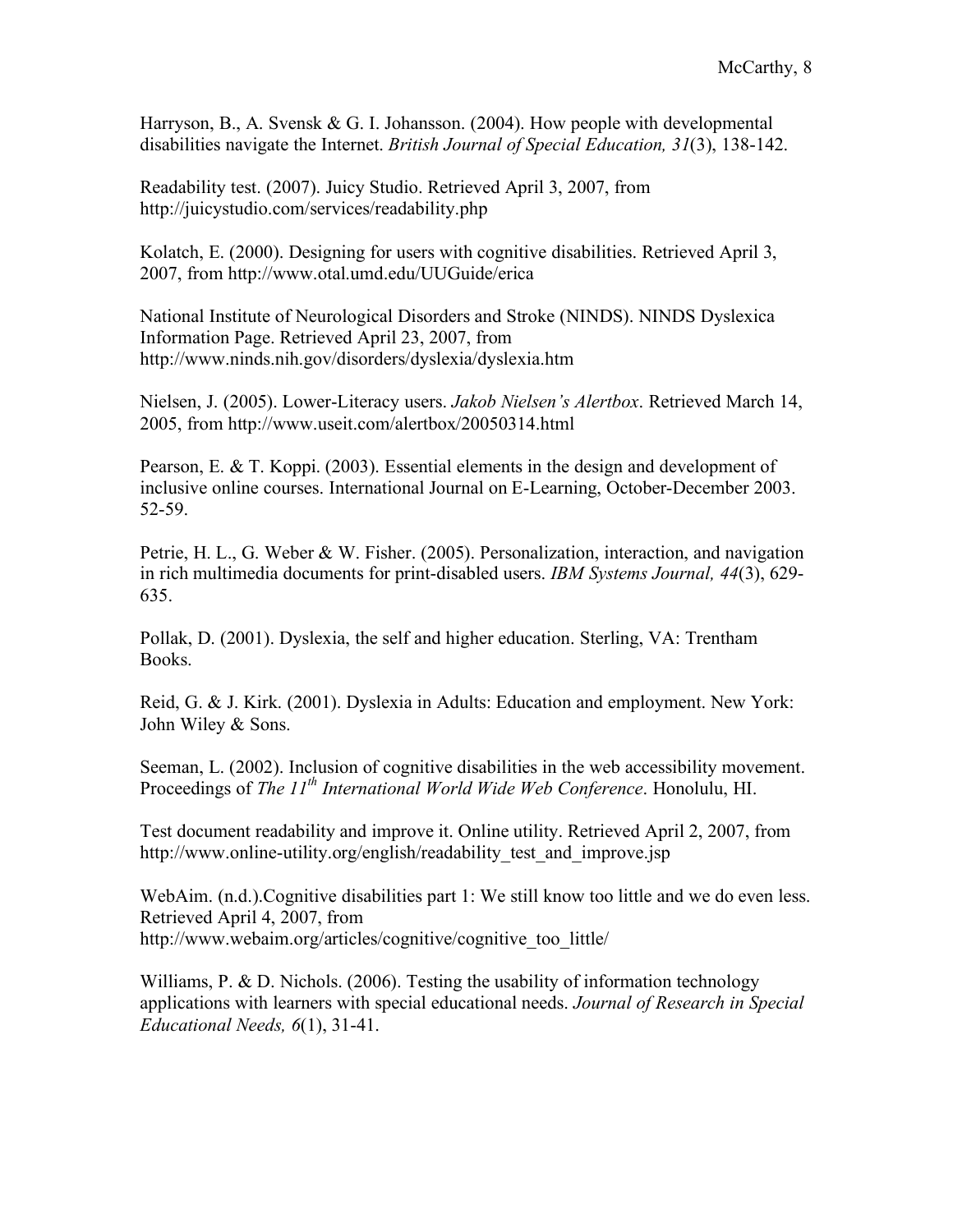Harryson, B., A. Svensk & G. I. Johansson. (2004). How people with developmental disabilities navigate the Internet. *British Journal of Special Education, 31*(3), 138-142.

Readability test. (2007). Juicy Studio. Retrieved April 3, 2007, from http://juicystudio.com/services/readability.php

Kolatch, E. (2000). Designing for users with cognitive disabilities. Retrieved April 3, 2007, from http://www.otal.umd.edu/UUGuide/erica

National Institute of Neurological Disorders and Stroke (NINDS). NINDS Dyslexica Information Page. Retrieved April 23, 2007, from http://www.ninds.nih.gov/disorders/dyslexia/dyslexia.htm

Nielsen, J. (2005). Lower-Literacy users. *Jakob Nielsen's Alertbox*. Retrieved March 14, 2005, from http://www.useit.com/alertbox/20050314.html

Pearson, E. & T. Koppi. (2003). Essential elements in the design and development of inclusive online courses. International Journal on E-Learning, October-December 2003. 52-59.

Petrie, H. L., G. Weber & W. Fisher. (2005). Personalization, interaction, and navigation in rich multimedia documents for print-disabled users. *IBM Systems Journal, 44*(3), 629- 635.

Pollak, D. (2001). Dyslexia, the self and higher education. Sterling, VA: Trentham Books.

Reid, G. & J. Kirk. (2001). Dyslexia in Adults: Education and employment. New York: John Wiley & Sons.

Seeman, L. (2002). Inclusion of cognitive disabilities in the web accessibility movement. Proceedings of *The 11th International World Wide Web Conference*. Honolulu, HI.

Test document readability and improve it. Online utility. Retrieved April 2, 2007, from http://www.online-utility.org/english/readability test and improve.jsp

WebAim. (n.d.).Cognitive disabilities part 1: We still know too little and we do even less. Retrieved April 4, 2007, from http://www.webaim.org/articles/cognitive/cognitive\_too\_little/

Williams, P. & D. Nichols. (2006). Testing the usability of information technology applications with learners with special educational needs. *Journal of Research in Special Educational Needs, 6*(1), 31-41.